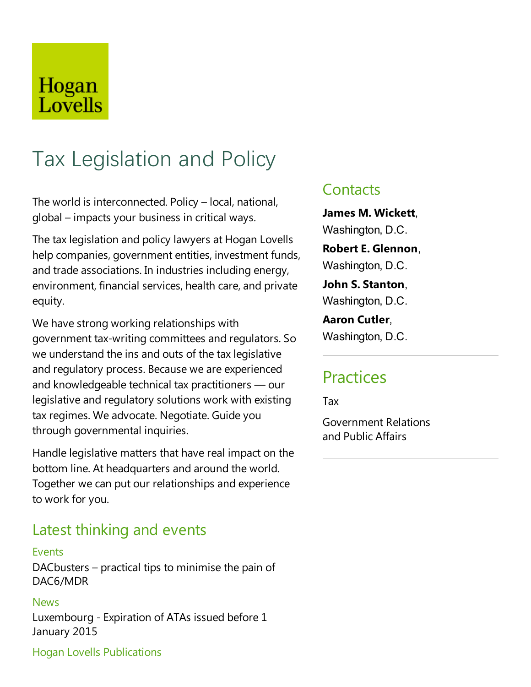## Hogan Lovells

# Tax Legislation and Policy

The world is interconnected. Policy – local, national, global – impacts your business in critical ways.

The tax legislation and policy lawyers at Hogan Lovells help companies, government entities, investment funds, and trade associations. In industries including energy, environment, financial services, health care, and private equity.

We have strong working relationships with government tax-writing committees and regulators. So we understand the ins and outs of the tax legislative and regulatory process. Because we are experienced and knowledgeable technical tax practitioners  $-$  our legislative and regulatory solutions work with existing tax regimes. We advocate. Negotiate. Guide you through governmental inquiries.

Handle legislative matters that have real impact on the bottom line. At headquarters and around the world. Together wecan put our relationships and experience to work for you.

### Latest thinking and events

#### Events

 $DACbusters - practical tips to minimise the pain of$ DAC6/MDR

#### News

Luxembourg - Expiration of ATAs issued before 1 January 2015

#### Hogan Lovells Publications

### **Contacts**

**James M. Wickett**, Washington, D.C.

**Robert E. Glennon**, Washington, D.C.

**John S. Stanton**, Washington, D.C.

**Aaron Cutler**, Washington, D.C.

### **Practices**

Tax

Government Relations and Public Affairs